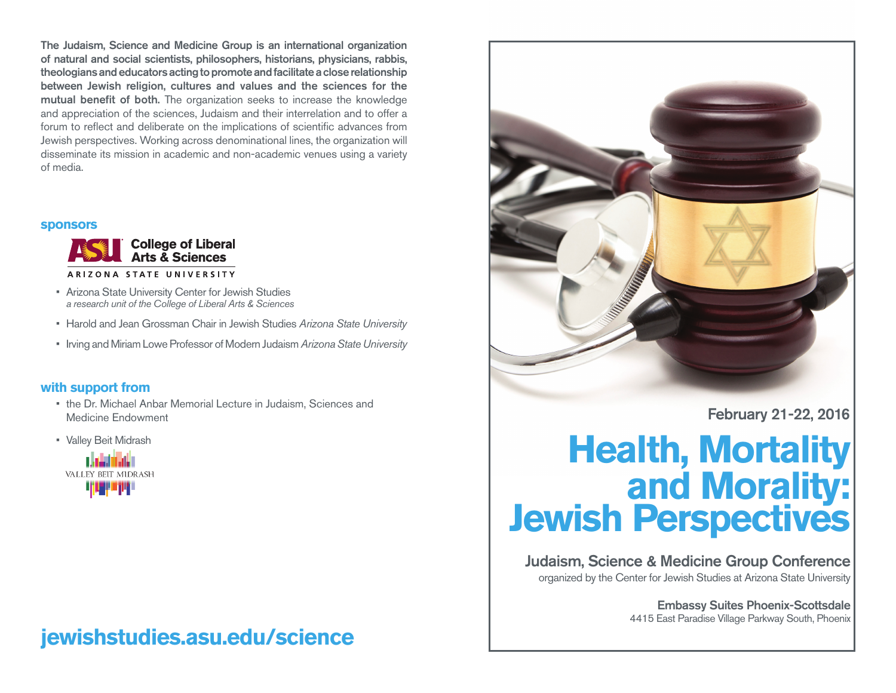The Judaism, Science and Medicine Group is an international organization of natural and social scientists, philosophers, historians, physicians, rabbis, theologians and educators acting to promote and facilitate a close relationship between Jewish religion, cultures and values and the sciences for the mutual benefit of both. The organization seeks to increase the knowledge and appreciation of the sciences, Judaism and their interrelation and to offer a forum to reflect and deliberate on the implications of scientific advances from Jewish perspectives. Working across denominational lines, the organization will disseminate its mission in academic and non-academic venues using a variety of media.

#### **sponsors**



- Arizona State University Center for Jewish Studies *a research unit of the College of Liberal Arts & Sciences*
- • Harold and Jean Grossman Chair in Jewish Studies *Arizona State University*
- • Irving and Miriam Lowe Professor of Modern Judaism *Arizona State University*

### **with support from**

- the Dr. Michael Anbar Memorial Lecture in Judaism, Sciences and Medicine Endowment
- • Valley Beit Midrash



## **jewishstudies.asu.edu/science**



February 21-22, 2016

# **Health, Mortality<br>
and Morality: Jewish Perspectives**

Judaism, Science & Medicine Group Conference organized by the Center for Jewish Studies at Arizona State University

> Embassy Suites Phoenix-Scottsdale 4415 East Paradise Village Parkway South, Phoenix